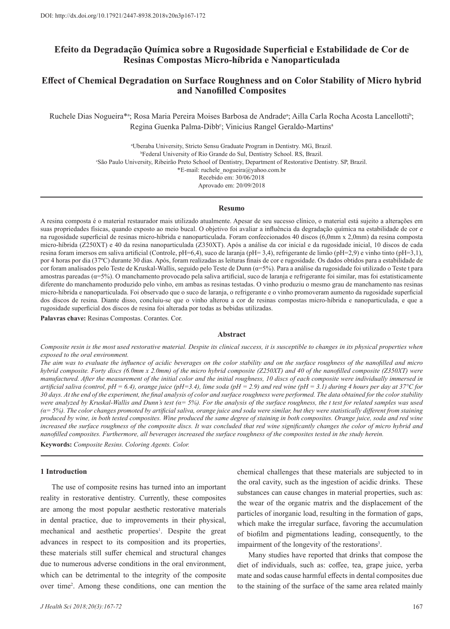# **Efeito da Degradação Química sobre a Rugosidade Superficial e Estabilidade de Cor de Resinas Compostas Micro-híbrida e Nanoparticulada**

# **Effect of Chemical Degradation on Surface Roughness and on Color Stability of Micro hybrid and Nanofilled Composites**

Ruchele Dias Nogueira\*ª; Rosa Maria Pereira Moises Barbosa de Andradeª; Ailla Carla Rocha Acosta Lancellotti<sup>b</sup>; Regina Guenka Palma-Dibb<sup>c</sup>; Vinicius Rangel Geraldo-Martins<sup>a</sup>

> a Uberaba University, Stricto Sensu Graduate Program in Dentistry. MG, Brazil. b Federal University of Rio Grande do Sul, Dentistry School. RS, Brazil. c São Paulo University, Ribeirão Preto School of Dentistry, Department of Restorative Dentistry. SP, Brazil. \*E-mail: ruchele\_nogueira@yahoo.com.br Recebido em: 30/06/2018 Aprovado em: 20/09/2018

#### **Resumo**

A resina composta é o material restaurador mais utilizado atualmente. Apesar de seu sucesso clínico, o material está sujeito a alterações em suas propriedades físicas, quando exposto ao meio bucal. O objetivo foi avaliar a influência da degradação química na estabilidade de cor e na rugosidade superficial de resinas micro-híbrida e nanoparticulada. Foram confeccionados 40 discos (6,0mm x 2,0mm) da resina composta micro-híbrida (Z250XT) e 40 da resina nanoparticulada (Z350XT). Após a análise da cor inicial e da rugosidade inicial, 10 discos de cada resina foram imersos em saliva artificial (Controle, pH=6,4), suco de laranja (pH= 3,4), refrigerante de limão (pH=2,9) e vinho tinto (pH=3,1), por 4 horas por dia (37ºC) durante 30 dias. Após, foram realizadas as leituras finais de cor e rugosidade. Os dados obtidos para a estabilidade de cor foram analisados pelo Teste de Kruskal-Wallis, seguido pelo Teste de Dunn (α=5%). Para a análise da rugosidade foi utilizado o Teste t para amostras pareadas (α=5%). O manchamento provocado pela saliva artificial, suco de laranja e refrigerante foi similar, mas foi estatisticamente diferente do manchamento produzido pelo vinho, em ambas as resinas testadas. O vinho produziu o mesmo grau de manchamento nas resinas micro-híbrida e nanoparticulada. Foi observado que o suco de laranja, o refrigerante e o vinho promoveram aumento da rugosidade superficial dos discos de resina. Diante disso, concluiu-se que o vinho alterou a cor de resinas compostas micro-híbrida e nanoparticulada, e que a rugosidade superficial dos discos de resina foi alterada por todas as bebidas utilizadas.

**Palavras chave:** Resinas Compostas. Corantes. Cor.

## **Abstract**

*Composite resin is the most used restorative material. Despite its clinical success, it is susceptible to changes in its physical properties when exposed to the oral environment.*

*The aim was to evaluate the influence of acidic beverages on the color stability and on the surface roughness of the nanofilled and micro hybrid composite. Forty discs (6.0mm x 2.0mm) of the micro hybrid composite (Z250XT) and 40 of the nanofilled composite (Z350XT) were manufactured. After the measurement of the initial color and the initial roughness, 10 discs of each composite were individually immersed in artificial saliva (control, pH = 6.4), orange juice (pH=3.4), lime soda (pH = 2.9) and red wine (pH = 3.1) during 4 hours per day at 37°C for 30 days. At the end of the experiment, the final analysis of color and surface roughness were performed. The data obtained for the color stability were analyzed by Kruskal-Wallis and Dunn's test (α= 5%). For the analysis of the surface roughness, the t test for related samples was used (α= 5%). The color changes promoted by artificial saliva, orange juice and soda were similar, but they were statistically different from staining produced by wine, in both tested composites. Wine produced the same degree of staining in both composites. Orange juice, soda and red wine increased the surface roughness of the composite discs. It was concluded that red wine significantly changes the color of micro hybrid and nanofilled composites. Furthermore, all beverages increased the surface roughness of the composites tested in the study herein.* 

**Keywords:** *Composite Resins. Coloring Agents. Color.*

## **1 Introduction**

The use of composite resins has turned into an important reality in restorative dentistry. Currently, these composites are among the most popular aesthetic restorative materials in dental practice, due to improvements in their physical, mechanical and aesthetic properties<sup>1</sup>. Despite the great advances in respect to its composition and its properties, these materials still suffer chemical and structural changes due to numerous adverse conditions in the oral environment, which can be detrimental to the integrity of the composite over time<sup>2</sup> . Among these conditions, one can mention the chemical challenges that these materials are subjected to in the oral cavity, such as the ingestion of acidic drinks. These substances can cause changes in material properties, such as: the wear of the organic matrix and the displacement of the particles of inorganic load, resulting in the formation of gaps, which make the irregular surface, favoring the accumulation of biofilm and pigmentations leading, consequently, to the impairment of the longevity of the restorations<sup>3</sup>.

Many studies have reported that drinks that compose the diet of individuals, such as: coffee, tea, grape juice, yerba mate and sodas cause harmful effects in dental composites due to the staining of the surface of the same area related mainly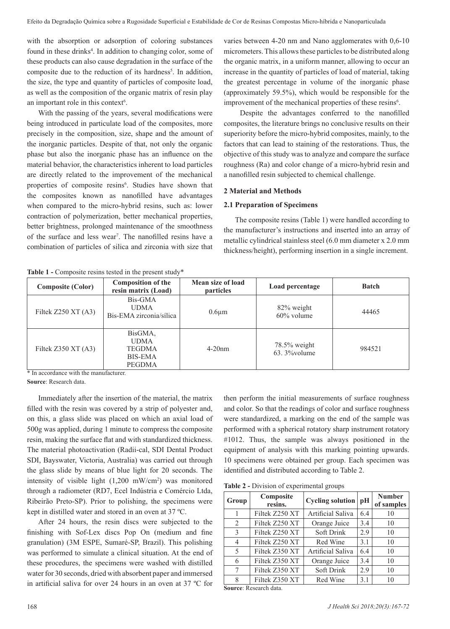with the absorption or adsorption of coloring substances found in these drinks<sup>4</sup>. In addition to changing color, some of these products can also cause degradation in the surface of the composite due to the reduction of its hardness<sup>5</sup>. In addition, the size, the type and quantity of particles of composite load, as well as the composition of the organic matrix of resin play an important role in this context<sup>6</sup>.

With the passing of the years, several modifications were being introduced in particulate load of the composites, more precisely in the composition, size, shape and the amount of the inorganic particles. Despite of that, not only the organic phase but also the inorganic phase has an influence on the material behavior, the characteristics inherent to load particles are directly related to the improvement of the mechanical properties of composite resins<sup>6</sup>. Studies have shown that the composites known as nanofilled have advantages when compared to the micro-hybrid resins, such as: lower contraction of polymerization, better mechanical properties, better brightness, prolonged maintenance of the smoothness of the surface and less wear<sup>7</sup>. The nanofilled resins have a combination of particles of silica and zirconia with size that

varies between 4-20 nm and Nano agglomerates with 0,6-10 micrometers. This allows these particles to be distributed along the organic matrix, in a uniform manner, allowing to occur an increase in the quantity of particles of load of material, taking the greatest percentage in volume of the inorganic phase (approximately 59.5%), which would be responsible for the improvement of the mechanical properties of these resins<sup>6</sup>.

 Despite the advantages conferred to the nanofilled composites, the literature brings no conclusive results on their superiority before the micro-hybrid composites, mainly, to the factors that can lead to staining of the restorations. Thus, the objective of this study was to analyze and compare the surface roughness (Ra) and color change of a micro-hybrid resin and a nanofilled resin subjected to chemical challenge.

## **2 Material and Methods**

## **2.1 Preparation of Specimens**

The composite resins (Table 1) were handled according to the manufacturer's instructions and inserted into an array of metallic cylindrical stainless steel (6.0 mm diameter x 2.0 mm thickness/height), performing insertion in a single increment.

Table 1 - Composite resins tested in the present study<sup>\*</sup>

| <b>Composite (Color)</b> | <b>Composition of the</b><br>resin matrix (Load)                    | Mean size of load<br><i>particles</i> | Load percentage                 | <b>Batch</b> |
|--------------------------|---------------------------------------------------------------------|---------------------------------------|---------------------------------|--------------|
| Filtek $Z250$ XT $(A3)$  | Bis-GMA<br><b>UDMA</b><br>Bis-EMA zirconia/sílica                   | $0.6 \mu m$                           | 82% weight<br>$60\%$ volume     | 44465        |
| Filtek $Z350$ XT $(A3)$  | BisGMA,<br><b>UDMA</b><br><b>TEGDMA</b><br><b>BIS-EMA</b><br>PEGDMA | $4-20$ nm                             | 78.5% weight<br>$63.3\%$ volume | 984521       |

\* In accordance with the manufacturer.

**Source**: Research data.

Immediately after the insertion of the material, the matrix filled with the resin was covered by a strip of polyester and, on this, a glass slide was placed on which an axial load of 500g was applied, during 1 minute to compress the composite resin, making the surface flat and with standardized thickness. The material photoactivation (Radii-cal, SDI Dental Product SDI, Bayswater, Victoria, Australia) was carried out through the glass slide by means of blue light for 20 seconds. The intensity of visible light (1,200 mW/cm2 ) was monitored through a radiometer (RD7, Ecel Indústria e Comércio Ltda, Ribeirão Preto-SP). Prior to polishing, the specimens were kept in distilled water and stored in an oven at 37 ºC.

After 24 hours, the resin discs were subjected to the finishing with Sof-Lex discs Pop On (medium and fine granulation) (3M ESPE, Sumaré-SP, Brazil). This polishing was performed to simulate a clinical situation. At the end of these procedures, the specimens were washed with distilled water for 30 seconds, dried with absorbent paper and immersed in artificial saliva for over 24 hours in an oven at 37 ºC for

then perform the initial measurements of surface roughness and color. So that the readings of color and surface roughness were standardized, a marking on the end of the sample was performed with a spherical rotatory sharp instrument rotatory #1012. Thus, the sample was always positioned in the equipment of analysis with this marking pointing upwards. 10 specimens were obtained per group. Each specimen was identified and distributed according to Table 2.

**Table 2 -** Division of experimental groups

| Group | Composite<br>resins. | Cycling solution $ pH $ |     | <b>Number</b><br>of samples |
|-------|----------------------|-------------------------|-----|-----------------------------|
|       | Filtek Z250 XT       | Artificial Saliva       | 6.4 | 10                          |
| 2     | Filtek Z250 XT       | Orange Juice            | 3.4 | 10                          |
| 3     | Filtek Z250 XT       | Soft Drink              | 2.9 | 10                          |
| 4     | Filtek Z250 XT       | Red Wine                | 3.1 | 10                          |
| 5     | Filtek Z350 XT       | Artificial Saliva       | 6.4 | 10                          |
| 6     | Filtek Z350 XT       | Orange Juice            | 3.4 | 10                          |
| 7     | Filtek Z350 XT       | Soft Drink              | 2.9 | 10                          |
| 8     | Filtek Z350 XT       | Red Wine                | 3.1 | 10                          |

**Source**: Research data.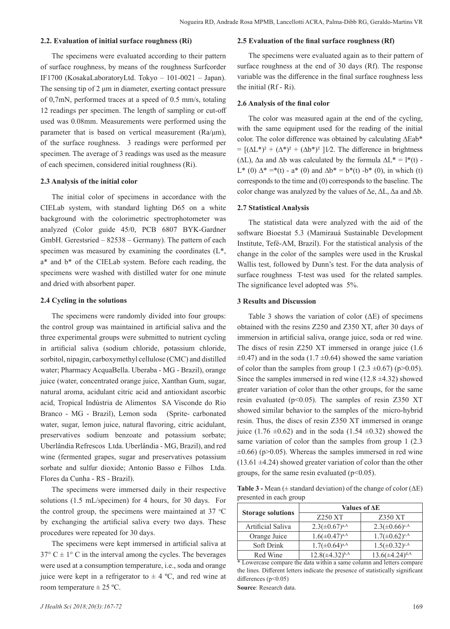## **2.2. Evaluation of initial surface roughness (Ri)**

The specimens were evaluated according to their pattern of surface roughness, by means of the roughness Surfcorder IF1700 (KosakaLaboratoryLtd. Tokyo – 101-0021 – Japan). The sensing tip of 2 μm in diameter, exerting contact pressure of 0,7mN, performed traces at a speed of 0.5 mm/s, totaling 12 readings per specimen. The length of sampling or cut-off used was 0.08mm. Measurements were performed using the parameter that is based on vertical measurement (Ra/μm), of the surface roughness. 3 readings were performed per specimen. The average of 3 readings was used as the measure of each specimen, considered initial roughness (Ri).

## **2.3 Analysis of the initial color**

The initial color of specimens in accordance with the CIELab system, with standard lighting D65 on a white background with the colorimetric spectrophotometer was analyzed (Color guide 45/0, PCB 6807 BYK-Gardner GmbH. Gerestsried – 82538 – Germany). The pattern of each specimen was measured by examining the coordinates  $(L^*,$ a\* and b\* of the CIELab system. Before each reading, the specimens were washed with distilled water for one minute and dried with absorbent paper.

## **2.4 Cycling in the solutions**

The specimens were randomly divided into four groups: the control group was maintained in artificial saliva and the three experimental groups were submitted to nutrient cycling in artificial saliva (sodium chloride, potassium chloride, sorbitol, nipagin, carboxymethyl cellulose (CMC) and distilled water; Pharmacy AcquaBella. Uberaba - MG - Brazil), orange juice (water, concentrated orange juice, Xanthan Gum, sugar, natural aroma, acidulant citric acid and antioxidant ascorbic acid, Tropical Indústria de Alimentos SA Visconde do Rio Branco - MG - Brazil), Lemon soda (Sprite- carbonated water, sugar, lemon juice, natural flavoring, citric acidulant, preservatives sodium benzoate and potassium sorbate; Uberlândia Refrescos Ltda. Uberlândia - MG, Brazil), and red wine (fermented grapes, sugar and preservatives potassium sorbate and sulfur dioxide; Antonio Basso e Filhos Ltda. Flores da Cunha - RS - Brazil).

The specimens were immersed daily in their respective solutions (1.5 mL/specimen) for 4 hours, for 30 days. For the control group, the specimens were maintained at 37  $\degree$ C by exchanging the artificial saliva every two days. These procedures were repeated for 30 days.

The specimens were kept immersed in artificial saliva at  $37^{\circ}$  C  $\pm$  1° C in the interval among the cycles. The beverages were used at a consumption temperature, i.e., soda and orange juice were kept in a refrigerator to  $\pm$  4 °C, and red wine at room temperature  $\pm$  25 °C.

#### **2.5 Evaluation of the final surface roughness (Rf)**

The specimens were evaluated again as to their pattern of surface roughness at the end of 30 days (Rf). The response variable was the difference in the final surface roughness less the initial (Rf - Ri).

## **2.6 Analysis of the final color**

The color was measured again at the end of the cycling, with the same equipment used for the reading of the initial color. The color difference was obtained by calculating ∆Eab\*  $= [(\Delta L^*)^2 + (\Delta^*)^2 + (\Delta b^*)^2]$  1/2. The difference in brightness ( $ΔL$ ),  $Δa$  and  $Δb$  was calculated by the formula  $ΔL^* = l^*(t)$  -L<sup>\*</sup> (0)  $\Delta^* = (1) - a^* (0)$  and  $\Delta b^* = b^* (t) - b^* (0)$ , in which (t) corresponds to the time and (0) corresponds to the baseline. The color change was analyzed by the values of Δe, ΔL, Δa and Δb.

#### **2.7 Statistical Analysis**

The statistical data were analyzed with the aid of the software Bioestat 5.3 (Mamirauá Sustainable Development Institute, Tefé-AM, Brazil). For the statistical analysis of the change in the color of the samples were used in the Kruskal Wallis test, followed by Dunn's test. For the data analysis of surface roughness T-test was used for the related samples. The significance level adopted was 5%.

#### **3 Results and Discussion**

Table 3 shows the variation of color  $(\Delta E)$  of specimens obtained with the resins Z250 and Z350 XT, after 30 days of immersion in artificial saliva, orange juice, soda or red wine. The discs of resin Z250 XT immersed in orange juice (1.6  $\pm$ 0.47) and in the soda (1.7  $\pm$ 0.64) showed the same variation of color than the samples from group 1 (2.3  $\pm$ 0.67) (p>0.05). Since the samples immersed in red wine  $(12.8 \pm 4.32)$  showed greater variation of color than the other groups, for the same resin evaluated ( $p$ <0.05). The samples of resin Z350 XT showed similar behavior to the samples of the micro-hybrid resin. Thus, the discs of resin Z350 XT immersed in orange juice (1.76  $\pm$ 0.62) and in the soda (1.54  $\pm$ 0.32) showed the same variation of color than the samples from group 1 (2.3  $\pm 0.66$ ) (p $> 0.05$ ). Whereas the samples immersed in red wine  $(13.61 \pm 4.24)$  showed greater variation of color than the other groups, for the same resin evaluated ( $p<0.05$ ).

**Table 3 -** Mean (± standard deviation) of the change of color (ΔE) presented in each group

|                          | Values of AE           |                        |  |
|--------------------------|------------------------|------------------------|--|
| <b>Storage solutions</b> | Z250 XT                | Z350 XT                |  |
| Artificial Saliva        | $2.3(\pm 0.67)^{a,A}$  | $2.3(\pm 0.66)^{c,A}$  |  |
| Orange Juice             | $1.6(\pm 0.47)^{a,A}$  | $1.7(\pm 0.62)^{c,A}$  |  |
| Soft Drink               | $1.7(\pm 0.64)^{a,A}$  | $1.5(\pm 0.32)^{c,A}$  |  |
| Red Wine                 | $12.8(\pm 4.32)^{b,A}$ | $13.6(\pm 4.24)^{d,A}$ |  |

<sup>\*</sup> Lowercase compare the data within a same column and letters compare the lines. Different letters indicate the presence of statistically significant differences (p<0.05)

**Source**: Research data.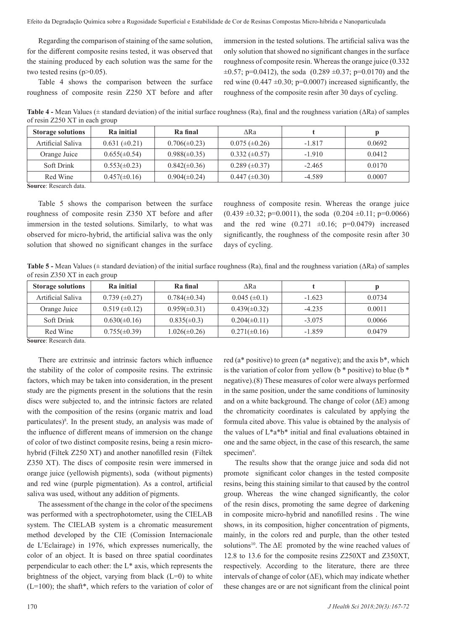Regarding the comparison of staining of the same solution, for the different composite resins tested, it was observed that the staining produced by each solution was the same for the two tested resins  $(p>0.05)$ .

Table 4 shows the comparison between the surface roughness of composite resin Z250 XT before and after

immersion in the tested solutions. The artificial saliva was the only solution that showed no significant changes in the surface roughness of composite resin. Whereas the orange juice (0.332  $\pm 0.57$ ; p=0.0412), the soda (0.289  $\pm 0.37$ ; p=0.0170) and the red wine  $(0.447 \pm 0.30; p=0.0007)$  increased significantly, the roughness of the composite resin after 30 days of cycling.

**Table 4 -** Mean Values (± standard deviation) of the initial surface roughness (Ra), final and the roughness variation (ΔRa) of samples of resin Z250 XT in each group

| <b>Storage solutions</b> | Ra initial         | Ra final          | ∧Ra                  |          |        |
|--------------------------|--------------------|-------------------|----------------------|----------|--------|
| Artificial Saliva        | $0.631 (\pm 0.21)$ | $0.706(\pm 0.23)$ | $0.075 (\pm 0.26)$   | $-1.817$ | 0.0692 |
| Orange Juice             | $0.655(\pm 0.54)$  | $0.988(\pm 0.35)$ | $0.332 \ (\pm 0.57)$ | $-1.910$ | 0.0412 |
| Soft Drink               | $0.553(\pm 0.23)$  | $0.842(\pm 0.36)$ | $0.289 \ (\pm 0.37)$ | $-2.465$ | 0.0170 |
| Red Wine                 | $0.457(\pm 0.16)$  | $0.904(\pm 0.24)$ | $0.447 \ (\pm 0.30)$ | $-4.589$ | 0.0007 |

**Source**: Research data.

Table 5 shows the comparison between the surface roughness of composite resin Z350 XT before and after immersion in the tested solutions. Similarly, to what was observed for micro-hybrid, the artificial saliva was the only solution that showed no significant changes in the surface roughness of composite resin. Whereas the orange juice  $(0.439 \pm 0.32; \text{p=0.0011})$ , the soda  $(0.204 \pm 0.11; \text{p=0.0066})$ and the red wine  $(0.271 \pm 0.16; \text{ p=0.0479})$  increased significantly, the roughness of the composite resin after 30 days of cycling.

**Table 5 -** Mean Values (± standard deviation) of the initial surface roughness (Ra), final and the roughness variation (ΔRa) of samples of resin Z350 XT in each group

| <b>Storage solutions</b> | Ra initial           | Ra final          | ARa               |          |        |
|--------------------------|----------------------|-------------------|-------------------|----------|--------|
| Artificial Saliva        | $0.739 \ (\pm 0.27)$ | $0.784(\pm 0.34)$ | $0.045 (\pm 0.1)$ | $-1.623$ | 0.0734 |
| Orange Juice             | $0.519 \ (\pm 0.12)$ | $0.959(\pm 0.31)$ | $0.439(\pm 0.32)$ | $-4.235$ | 0.0011 |
| Soft Drink               | $0.630(\pm 0.16)$    | $0.835(\pm 0.3)$  | $0.204(\pm 0.11)$ | $-3.075$ | 0.0066 |
| Red Wine                 | $0.755(\pm 0.39)$    | $1.026(\pm 0.26)$ | $0.271(\pm 0.16)$ | $-1.859$ | 0.0479 |

**Source**: Research data.

There are extrinsic and intrinsic factors which influence the stability of the color of composite resins. The extrinsic factors, which may be taken into consideration, in the present study are the pigments present in the solutions that the resin discs were subjected to, and the intrinsic factors are related with the composition of the resins (organic matrix and load particulates)<sup>8</sup>. In the present study, an analysis was made of the influence of different means of immersion on the change of color of two distinct composite resins, being a resin microhybrid (Filtek Z250 XT) and another nanofilled resin (Filtek Z350 XT). The discs of composite resin were immersed in orange juice (yellowish pigments), soda (without pigments) and red wine (purple pigmentation). As a control, artificial saliva was used, without any addition of pigments.

The assessment of the change in the color of the specimens was performed with a spectrophotometer, using the CIELAB system. The CIELAB system is a chromatic measurement method developed by the CIE (Comission Internacionale de L'Eclairage) in 1976, which expresses numerically, the color of an object. It is based on three spatial coordinates perpendicular to each other: the L\* axis, which represents the brightness of the object, varying from black  $(L=0)$  to white  $(L=100)$ ; the shaft\*, which refers to the variation of color of red ( $a^*$  positive) to green ( $a^*$  negative); and the axis  $b^*$ , which is the variation of color from yellow ( $b *$  positive) to blue ( $b *$ negative).(8) These measures of color were always performed in the same position, under the same conditions of luminosity and on a white background. The change of color  $(\Delta E)$  among the chromaticity coordinates is calculated by applying the formula cited above. This value is obtained by the analysis of the values of L\*a\*b\* initial and final evaluations obtained in one and the same object, in the case of this research, the same specimen<sup>9</sup>.

The results show that the orange juice and soda did not promote significant color changes in the tested composite resins, being this staining similar to that caused by the control group. Whereas the wine changed significantly, the color of the resin discs, promoting the same degree of darkening in composite micro-hybrid and nanofilled resins . The wine shows, in its composition, higher concentration of pigments, mainly, in the colors red and purple, than the other tested solutions<sup>10</sup>. The  $\Delta E$  promoted by the wine reached values of 12.8 to 13.6 for the composite resins Z250XT and Z350XT, respectively. According to the literature, there are three intervals of change of color  $(\Delta E)$ , which may indicate whether these changes are or are not significant from the clinical point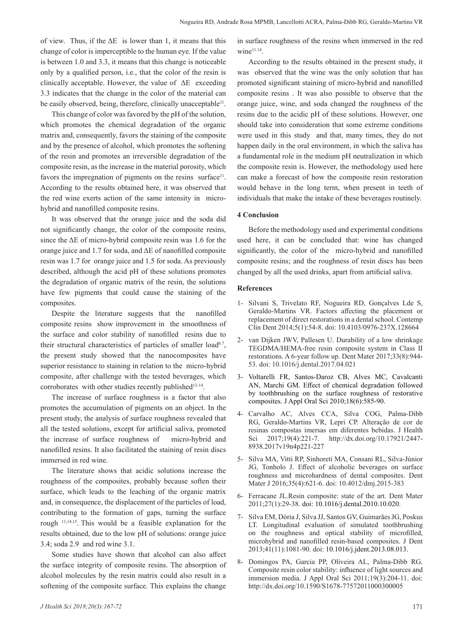of view. Thus, if the ΔE is lower than 1, it means that this change of color is imperceptible to the human eye. If the value is between 1.0 and 3.3, it means that this change is noticeable only by a qualified person, i.e., that the color of the resin is clinically acceptable. However, the value of  $\Delta E$  exceeding 3.3 indicates that the change in the color of the material can be easily observed, being, therefore, clinically unacceptable<sup>11</sup>.

This change of color was favored by the pH of the solution, which promotes the chemical degradation of the organic matrix and, consequently, favors the staining of the composite and by the presence of alcohol, which promotes the softening of the resin and promotes an irreversible degradation of the composite resin, as the increase in the material porosity, which favors the impregnation of pigments on the resins surface<sup>11</sup>. According to the results obtained here, it was observed that the red wine exerts action of the same intensity in microhybrid and nanofilled composite resins.

It was observed that the orange juice and the soda did not significantly change, the color of the composite resins, since the ΔE of micro-hybrid composite resin was 1.6 for the orange juice and 1.7 for soda, and ΔE of nanofilled composite resin was 1.7 for orange juice and 1.5 for soda. As previously described, although the acid pH of these solutions promotes the degradation of organic matrix of the resin, the solutions have few pigments that could cause the staining of the composites.

Despite the literature suggests that the nanofilled composite resins show improvement in the smoothness of the surface and color stability of nanofilled resins due to their structural characteristics of particles of smaller load<sup>6.7</sup>, the present study showed that the nanocomposites have superior resistance to staining in relation to the micro-hybrid composite, after challenge with the tested beverages, which corroborates with other studies recently published<sup>12-14</sup>.

The increase of surface roughness is a factor that also promotes the accumulation of pigments on an object. In the present study, the analysis of surface roughness revealed that all the tested solutions, except for artificial saliva, promoted the increase of surface roughness of micro-hybrid and nanofilled resins. It also facilitated the staining of resin discs immersed in red wine.

The literature shows that acidic solutions increase the roughness of the composites, probably because soften their surface, which leads to the leaching of the organic matrix and, in consequence, the displacement of the particles of load, contributing to the formation of gaps, turning the surface rough 11,14,15. This would be a feasible explanation for the results obtained, due to the low pH of solutions: orange juice 3.4; soda 2.9 and red wine 3.1.

Some studies have shown that alcohol can also affect the surface integrity of composite resins. The absorption of alcohol molecules by the resin matrix could also result in a softening of the composite surface. This explains the change

According to the results obtained in the present study, it was observed that the wine was the only solution that has promoted significant staining of micro-hybrid and nanofilled composite resins . It was also possible to observe that the orange juice, wine, and soda changed the roughness of the resins due to the acidic pH of these solutions. However, one should take into consideration that some extreme conditions were used in this study and that, many times, they do not happen daily in the oral environment, in which the saliva has a fundamental role in the medium pH neutralization in which the composite resin is. However, the methodology used here can make a forecast of how the composite resin restoration would behave in the long term, when present in teeth of individuals that make the intake of these beverages routinely.

## **4 Conclusion**

Before the methodology used and experimental conditions used here, it can be concluded that: wine has changed significantly, the color of the micro-hybrid and nanofilled composite resins; and the roughness of resin discs has been changed by all the used drinks, apart from artificial saliva.

## **References**

- 1- Silvani S, Trivelato RF, Nogueira RD, Gonçalves Lde S, Geraldo-Martins VR. Factors affecting the placement or replacement of direct restorations in a dental school. Contemp Clin Dent 2014;5(1):54-8. doi: 10.4103/0976-237X.128664
- 2- van Dijken JWV, Pallesen U. Durability of a low shrinkage TEGDMA/HEMA-free resin composite system in Class II restorations. A 6-year follow up. Dent Mater 2017;33(8):944- 53. doi: 10.1016/j.dental.2017.04.021
- 3- Voltarelli FR, Santos-Daroz CB, Alves MC, Cavalcanti AN, Marchi GM. Effect of chemical degradation followed by toothbrushing on the surface roughness of restorative composites. J Appl Oral Sci 2010;18(6):585-90.
- 4- Carvalho AC, Alves CCA, Silva COG, Palma-Dibb RG, Geraldo-Martins VR, Lepri CP. Alteração de cor de resinas compostas imersas em diferentes bebidas. J Health Sci 2017;19(4):221-7. http://dx.doi.org/10.17921/2447- 8938.2017v19n4p221-227
- 5- Silva MA, Vitti RP, Sinhoreti MA, Consani RL, Silva-Júnior JG, Tonholo J. Effect of alcoholic beverages on surface roughness and microhardness of dental composites. Dent Mater J 2016;35(4):621-6. doi: 10.4012/dmj.2015-383
- 6- Ferracane JL.Resin composite: state of the art. Dent Mater 2011;27(1):29-38. doi: 10.1016/j.dental.2010.10.020.
- 7- Silva EM, Dória J, Silva JJ, Santos GV, Guimarães JG, Poskus LT. Longitudinal evaluation of simulated toothbrushing on the roughness and optical stability of microfilled, microhybrid and nanofilled resin-based composites. J Dent 2013;41(11):1081-90. doi: 10.1016/j.jdent.2013.08.013.
- 8- Domingos PA, Garcia PP, Oliveira AL, Palma-Dibb RG. Composite resin color stability: influence of light sources and immersion media. J Appl Oral Sci 2011;19(3):204-11. doi: http://dx.doi.org/10.1590/S1678-77572011000300005